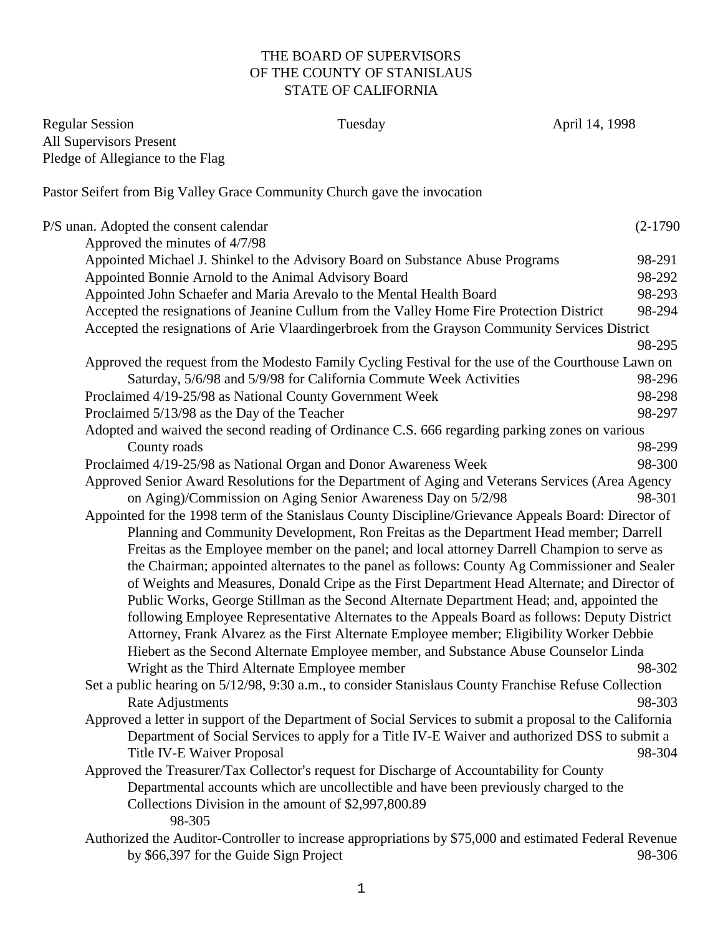## THE BOARD OF SUPERVISORS OF THE COUNTY OF STANISLAUS STATE OF CALIFORNIA

| <b>Regular Session</b>                               | Tuesday                                                                                                  | April 14, 1998 |
|------------------------------------------------------|----------------------------------------------------------------------------------------------------------|----------------|
| <b>All Supervisors Present</b>                       |                                                                                                          |                |
| Pledge of Allegiance to the Flag                     |                                                                                                          |                |
|                                                      | Pastor Seifert from Big Valley Grace Community Church gave the invocation                                |                |
| P/S unan. Adopted the consent calendar               |                                                                                                          | $(2-1790)$     |
| Approved the minutes of 4/7/98                       |                                                                                                          |                |
|                                                      | Appointed Michael J. Shinkel to the Advisory Board on Substance Abuse Programs                           | 98-291         |
| Appointed Bonnie Arnold to the Animal Advisory Board |                                                                                                          | 98-292         |
|                                                      | Appointed John Schaefer and Maria Arevalo to the Mental Health Board                                     | 98-293         |
|                                                      | Accepted the resignations of Jeanine Cullum from the Valley Home Fire Protection District                | 98-294         |
|                                                      | Accepted the resignations of Arie Vlaardingerbroek from the Grayson Community Services District          |                |
|                                                      |                                                                                                          | 98-295         |
|                                                      | Approved the request from the Modesto Family Cycling Festival for the use of the Courthouse Lawn on      |                |
|                                                      | Saturday, 5/6/98 and 5/9/98 for California Commute Week Activities                                       | 98-296         |
|                                                      | Proclaimed 4/19-25/98 as National County Government Week                                                 | 98-298         |
| Proclaimed 5/13/98 as the Day of the Teacher         |                                                                                                          | 98-297         |
|                                                      | Adopted and waived the second reading of Ordinance C.S. 666 regarding parking zones on various           |                |
| County roads                                         |                                                                                                          | 98-299         |
|                                                      | Proclaimed 4/19-25/98 as National Organ and Donor Awareness Week                                         | 98-300         |
|                                                      | Approved Senior Award Resolutions for the Department of Aging and Veterans Services (Area Agency         |                |
|                                                      | on Aging)/Commission on Aging Senior Awareness Day on 5/2/98                                             | 98-301         |
|                                                      | Appointed for the 1998 term of the Stanislaus County Discipline/Grievance Appeals Board: Director of     |                |
|                                                      | Planning and Community Development, Ron Freitas as the Department Head member; Darrell                   |                |
|                                                      | Freitas as the Employee member on the panel; and local attorney Darrell Champion to serve as             |                |
|                                                      | the Chairman; appointed alternates to the panel as follows: County Ag Commissioner and Sealer            |                |
|                                                      | of Weights and Measures, Donald Cripe as the First Department Head Alternate; and Director of            |                |
|                                                      | Public Works, George Stillman as the Second Alternate Department Head; and, appointed the                |                |
|                                                      | following Employee Representative Alternates to the Appeals Board as follows: Deputy District            |                |
|                                                      | Attorney, Frank Alvarez as the First Alternate Employee member; Eligibility Worker Debbie                |                |
|                                                      | Hiebert as the Second Alternate Employee member, and Substance Abuse Counselor Linda                     |                |
|                                                      | Wright as the Third Alternate Employee member                                                            | 98-302         |
|                                                      | Set a public hearing on 5/12/98, 9:30 a.m., to consider Stanislaus County Franchise Refuse Collection    |                |
| Rate Adjustments                                     |                                                                                                          | 98-303         |
|                                                      | Approved a letter in support of the Department of Social Services to submit a proposal to the California |                |
|                                                      | Department of Social Services to apply for a Title IV-E Waiver and authorized DSS to submit a            |                |
| <b>Title IV-E Waiver Proposal</b>                    |                                                                                                          | 98-304         |
|                                                      | Approved the Treasurer/Tax Collector's request for Discharge of Accountability for County                |                |
|                                                      | Departmental accounts which are uncollectible and have been previously charged to the                    |                |
|                                                      | Collections Division in the amount of \$2,997,800.89                                                     |                |
| 98-305                                               |                                                                                                          |                |
|                                                      | Authorized the Auditor-Controller to increase appropriations by \$75,000 and estimated Federal Revenue   |                |
| by \$66,397 for the Guide Sign Project               |                                                                                                          | 98-306         |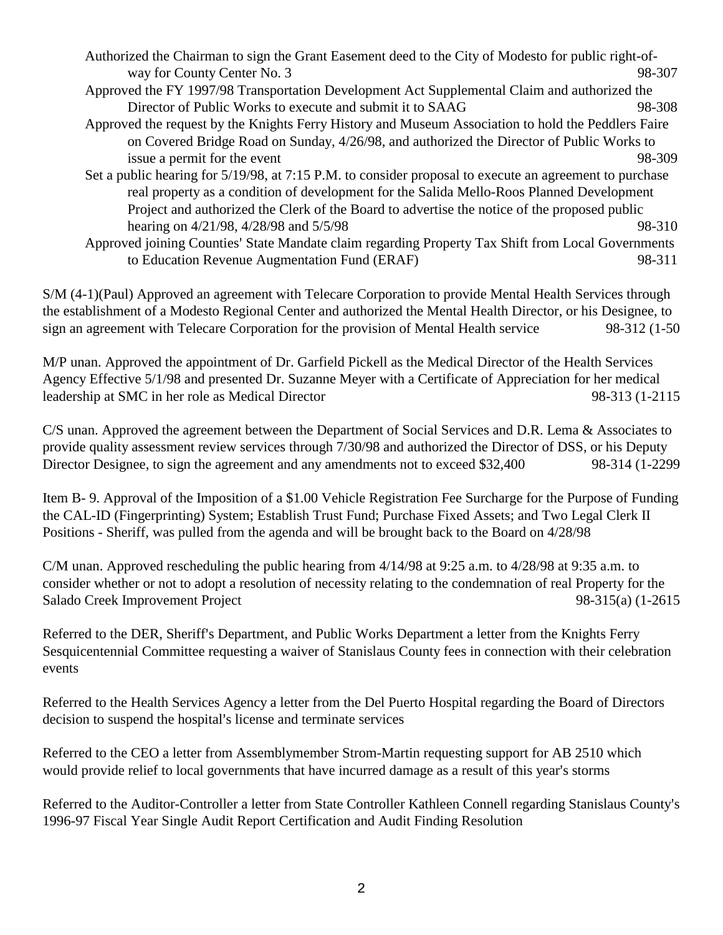- Authorized the Chairman to sign the Grant Easement deed to the City of Modesto for public right-ofway for County Center No. 3 98-307
- Approved the FY 1997/98 Transportation Development Act Supplemental Claim and authorized the Director of Public Works to execute and submit it to SAAG 98-308
- Approved the request by the Knights Ferry History and Museum Association to hold the Peddlers Faire on Covered Bridge Road on Sunday, 4/26/98, and authorized the Director of Public Works to issue a permit for the event 98-309
- Set a public hearing for 5/19/98, at 7:15 P.M. to consider proposal to execute an agreement to purchase real property as a condition of development for the Salida Mello-Roos Planned Development Project and authorized the Clerk of the Board to advertise the notice of the proposed public hearing on  $4/21/98$ ,  $4/28/98$  and  $5/5/98$   $\hspace{1.5cm}$  98-310
- Approved joining Counties' State Mandate claim regarding Property Tax Shift from Local Governments to Education Revenue Augmentation Fund (ERAF) 98-311

S/M (4-1)(Paul) Approved an agreement with Telecare Corporation to provide Mental Health Services through the establishment of a Modesto Regional Center and authorized the Mental Health Director, or his Designee, to sign an agreement with Telecare Corporation for the provision of Mental Health service 98-312 (1-50

M/P unan. Approved the appointment of Dr. Garfield Pickell as the Medical Director of the Health Services Agency Effective 5/1/98 and presented Dr. Suzanne Meyer with a Certificate of Appreciation for her medical leadership at SMC in her role as Medical Director 98-313 (1-2115

C/S unan. Approved the agreement between the Department of Social Services and D.R. Lema & Associates to provide quality assessment review services through 7/30/98 and authorized the Director of DSS, or his Deputy Director Designee, to sign the agreement and any amendments not to exceed \$32,400 98-314 (1-2299

Item B- 9. Approval of the Imposition of a \$1.00 Vehicle Registration Fee Surcharge for the Purpose of Funding the CAL-ID (Fingerprinting) System; Establish Trust Fund; Purchase Fixed Assets; and Two Legal Clerk II Positions - Sheriff, was pulled from the agenda and will be brought back to the Board on 4/28/98

C/M unan. Approved rescheduling the public hearing from  $4/14/98$  at 9:25 a.m. to  $4/28/98$  at 9:35 a.m. to consider whether or not to adopt a resolution of necessity relating to the condemnation of real Property for the Salado Creek Improvement Project 98-315(a) (1-2615

Referred to the DER, Sheriff's Department, and Public Works Department a letter from the Knights Ferry Sesquicentennial Committee requesting a waiver of Stanislaus County fees in connection with their celebration events

Referred to the Health Services Agency a letter from the Del Puerto Hospital regarding the Board of Directors decision to suspend the hospital's license and terminate services

Referred to the CEO a letter from Assemblymember Strom-Martin requesting support for AB 2510 which would provide relief to local governments that have incurred damage as a result of this year's storms

Referred to the Auditor-Controller a letter from State Controller Kathleen Connell regarding Stanislaus County's 1996-97 Fiscal Year Single Audit Report Certification and Audit Finding Resolution